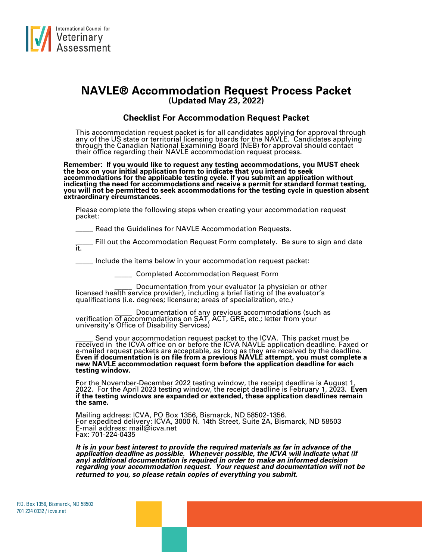

## **NAVLE® Accommodation Request Process Packet (Updated May 23, 2022)**

## **Checklist For Accommodation Request Packet**

This accommodation request packet is for all candidates applying for approval through any of the US state or territorial licensing boards for the NAVLE. Candidates applying through the Canadian National Examining Board (NEB) for approval should contact their office regarding their NAVLE accommodation request process.

**Remember: If you would like to request any testing accommodations, you MUST check the box on your initial application form to indicate that you intend to seek accommodations for the applicable testing cycle. If you submit an application without indicating the need for accommodations and receive a permit for standard format testing, you will not be permitted to seek accommodations for the testing cycle in question absent extraordinary circumstances.**

Please complete the following steps when creating your accommodation request packet:

Read the Guidelines for NAVLE Accommodation Requests.

Fill out the Accommodation Request Form completely. Be sure to sign and date it.

Include the items below in your accommodation request packet:

\_\_\_\_\_ Completed Accommodation Request Form

Documentation from your evaluator (a physician or other licensed health service provider), including a brief listing of the evaluator's qualifications (i.e. degrees; licensure; areas of specialization, etc.)

\_\_\_\_\_ Documentation of any previous accommodations (such as verification of accommodations on SAT, ACT, GRE, etc.; letter from your university's Office of Disability Services)

\_\_\_\_\_ Send your accommodation request packet to the ICVA. This packet must be received in the ICVA office on or before the ICVA NAVLE application deadline. Faxed or e-mailed request packets are acceptable, as long as they are received by the deadline. **Even if documentation is on file from a previous NAVLE attempt, you must complete a new NAVLE accommodation request form before the application deadline for each testing window.** 

For the November-December 2022 testing window, the receipt deadline is August 1, 2022. For the April 2023 testing window, the receipt deadline is February 1, 2023. **Even if the testing windows are expanded or extended, these application deadlines remain the same.**

Mailing address: ICVA, PO Box 1356, Bismarck, ND 58502-1356. For expedited delivery: ICVA, 3000 N. 14th Street, Suite 2A, Bismarck, ND 58503 E-mail address: mail@icva.net Fax: 701-224-0435

*It is in your best interest to provide the required materials as far in advance of the application deadline as possible. Whenever possible, the ICVA will indicate what (if any) additional documentation is required in order to make an informed decision regarding your accommodation request. Your request and documentation will not be returned to you, so please retain copies of everything you submit.*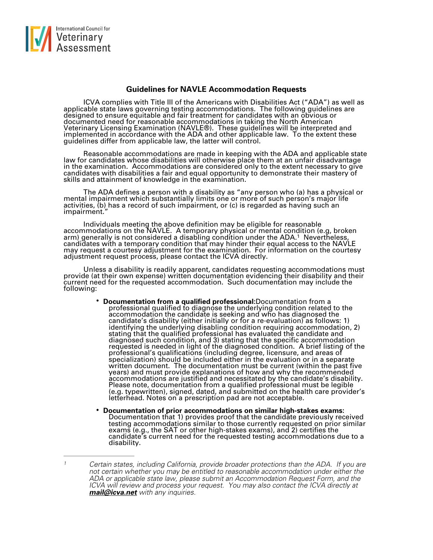

## **Guidelines for NAVLE Accommodation Requests**

ICVA complies with Title III of the Americans with Disabilities Act ("ADA") as well as applicable state laws governing testing accommodations. The following guidelines are designed to ensure equitable and fair treatment for candidates with an obvious or documented need for reasonable accommodations in taking the North American Veterinary Licensing Examination (NAVLE®). These guidelines will be interpreted and implemented in accordance with the ADA and other applicable law. To the extent these guidelines differ from applicable law, the latter will control.

Reasonable accommodations are made in keeping with the ADA and applicable state law for candidates whose disabilities will otherwise place them at an unfair disadvantage in the examination. Accommodations are considered only to the extent necessary to give candidates with disabilities a fair and equal opportunity to demonstrate their mastery of skills and attainment of knowledge in the examination.

The ADA defines a person with a disability as "any person who (a) has a physical or mental impairment which substantially limits one or more of such person's major life activities, (b) has a record of such impairment, or (c) is regarded as having such an impairment."

Individuals meeting the above definition may be eligible for reasonable accommodations on the NAVLE. A temporary physical or mental condition (e.g, broken arm) generally is not considered a disabling condition under the ADA.<sup>[1](#page-1-0)</sup> Nevertheless, candidates with a temporary condition that may hinder their equal access to the NAVLE may request a courtesy adjustment for the examination. For information on the courtesy adjustment request process, please contact the ICVA directly.

Unless a disability is readily apparent, candidates requesting accommodations must provide (at their own expense) written documentation evidencing their disability and their current need for the requested accommodation. Such documentation may include the following:

- <span id="page-1-1"></span>• **Documentation from a qualified professional:**Documentation from a professional qualified to diagnose the underlying condition related to the accommodation the candidate is seeking and who has diagnosed the candidate's disability (either initially or for a re-evaluation) as follows: 1) identifying the underlying disabling condition requiring accommodation, 2) stating that the qualified professional has evaluated the candidate and diagnosed such condition, and 3) stating that the specific accommodation requested is needed in light of the diagnosed condition. A brief listing of the professional's qualifications (including degree, licensure, and areas of specialization) should be included either in the evaluation or in a separate written document. The documentation must be current (within the past five years) and must provide explanations of how and why the recommended accommodations are justified and necessitated by the candidate's disability. Please note, documentation from a qualified professional must be legible (e.g. typewritten), signed, dated, and submitted on the health care provider's letterhead. Notes on a prescription pad are not acceptable.
- **Documentation of prior accommodations on similar high-stakes exams:**  Documentation that 1) provides proof that the candidate previously received testing accommodations similar to those currently requested on prior similar exams (e.g., the SAT or other high-stakes exams), and 2) certifies the candidate's current need for the requested testing accommodations due to a disability.

<span id="page-1-0"></span>*Certain states, including California, provide broader protections than the ADA. If you are [1](#page-1-1) not certain whether you may be entitled to reasonable accommodation under either the ADA or applicable state law, please submit an Accommodation Request Form, and the ICVA will review and process your request. You may also contact the ICVA directly at [mail@icva.net](mailto:mail@icva.net) with any inquiries.*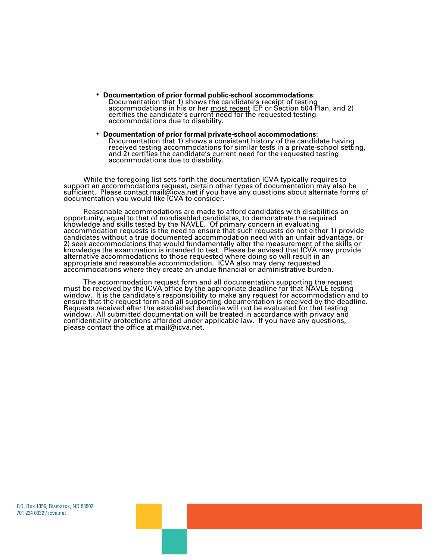- **Documentation of prior formal public-school accommodations**: Documentation that 1) shows the candidate's receipt of testing accommodations in his or her <u>most recent</u> IEP or Section 504 Plan, and 2) certifies the candidate's current need for the requested testing accommodations due to disability.
- **Documentation of prior formal private-school accommodations**: Documentation that 1) shows a consistent history of the candidate having received testing accommodations for similar tests in a private-school setting, and 2) certifies the candidate's current need for the requested testing accommodations due to disability.

While the foregoing list sets forth the documentation ICVA typically requires to support an accommodations request, certain other types of documentation may also be sufficient. Please contact [mail@icva.net](mailto:mail@icva.net) if you have any questions about alternate forms of documentation you would like ICVA to consider.

Reasonable accommodations are made to afford candidates with disabilities an opportunity, equal to that of nondisabled candidates, to demonstrate the required knowledge and skills tested by the NAVLE. Of primary concern in evaluating accommodation requests is the need to ensure that such requests do not either 1) provide candidates without a true documented accommodation need with an unfair advantage, or 2) seek accommodations that would fundamentally alter the measurement of the skills or knowledge the examination is intended to test. Please be advised that ICVA may provide alternative accommodations to those requested where doing so will result in an appropriate and reasonable accommodation. ICVA also may deny requested accommodations where they create an undue financial or administrative burden.

The accommodation request form and all documentation supporting the request must be received by the ICVA office by the appropriate deadline for that NAVLE testing window. It is the candidate's responsibility to make any request for accommodation and to ensure that the request form and all supporting documentation is received by the deadline. Requests received after the established deadline will not be evaluated for that testing window. All submitted documentation will be treated in accordance with privacy and confidentiality protections afforded under applicable law. If you have any questions, please contact the office at mail@icva.net.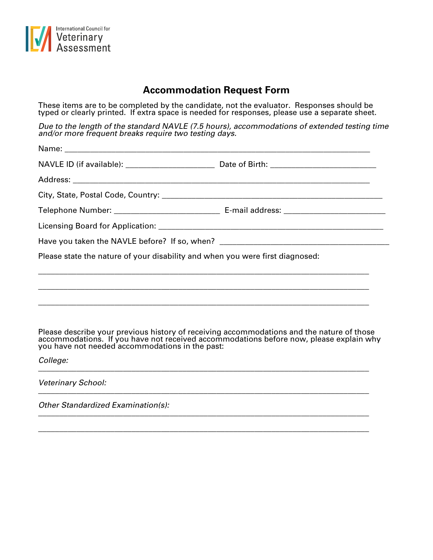

## **Accommodation Request Form**

These items are to be completed by the candidate, not the evaluator. Responses should be typed or clearly printed. If extra space is needed for responses, please use a separate sheet.

*Due to the length of the standard NAVLE (7.5 hours), accommodations of extended testing time and/or more frequent breaks require two testing days.*

| Have you taken the NAVLE before? If so, when? ___________________________________                                                                                                                                                          |  |
|--------------------------------------------------------------------------------------------------------------------------------------------------------------------------------------------------------------------------------------------|--|
| Please state the nature of your disability and when you were first diagnosed:                                                                                                                                                              |  |
| Please describe your previous history of receiving accommodations and the nature of those accommodations. If you have not received accommodations before now, please explain why you have not needed accommodations in the pas<br>College: |  |

\_\_\_\_\_\_\_\_\_\_\_\_\_\_\_\_\_\_\_\_\_\_\_\_\_\_\_\_\_\_\_\_\_\_\_\_\_\_\_\_\_\_\_\_\_\_\_\_\_\_\_\_\_\_\_\_\_\_\_\_\_\_\_\_\_\_\_\_\_\_\_\_\_\_\_\_\_\_

*Veterinary School:* \_\_\_\_\_\_\_\_\_\_\_\_\_\_\_\_\_\_\_\_\_\_\_\_\_\_\_\_\_\_\_\_\_\_\_\_\_\_\_\_\_\_\_\_\_\_\_\_\_\_\_\_\_\_\_\_\_\_\_\_\_\_\_\_\_\_\_\_\_\_\_\_\_\_\_\_\_\_

*Other Standardized Examination(s):* \_\_\_\_\_\_\_\_\_\_\_\_\_\_\_\_\_\_\_\_\_\_\_\_\_\_\_\_\_\_\_\_\_\_\_\_\_\_\_\_\_\_\_\_\_\_\_\_\_\_\_\_\_\_\_\_\_\_\_\_\_\_\_\_\_\_\_\_\_\_\_\_\_\_\_\_\_\_